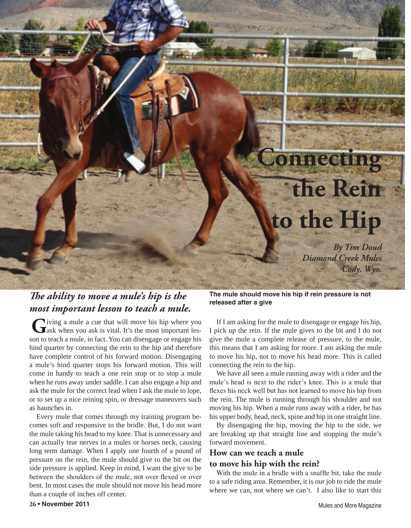## **Connecting the Rein to the Hip**

*By Tim Doud Diamond Creek Mules Cody, Wyo.*

## *The ability to move a mule's hip is the most important lesson to teach a mule.*

Giving a mule a cue that will move his hip where you ask when you ask is vital. It's the most important lesson to teach a mule, in fact. You can disengage or engage his hind quarter by connecting the rein to the hip and therefore have complete control of his forward motion. Disengaging a mule's hind quarter stops his forward motion. This will come in handy to teach a one rein stop or to stop a mule when he runs away under saddle. I can also engage a hip and ask the mule for the correct lead when I ask the mule to lope, or to set up a nice reining spin, or dressage maneuvers such as haunches in.

Every mule that comes through my training program becomes soft and responsive to the bridle. But, I do not want the mule taking his head to my knee. That is unnecessary and can actually tear nerves in a mules or horses neck, causing long term damage. When I apply one fourth of a pound of pressure on the rein, the mule should give to the bit on the side pressure is applied. Keep in mind, I want the give to be between the shoulders of the mule, not over flexed or over bent. In most cases the mule should not move his head more than a couple of inches off center.

**The mule should move his hip if rein pressure is not released after a give**

If I am asking for the mule to disengage or engage his hip, I pick up the rein. If the mule gives to the bit and I do not give the mule a complete release of pressure, to the mule, this means that I am asking for more. I am asking the mule to move his hip, not to move his head more. This is called connecting the rein to the hip.

We have all seen a mule running away with a rider and the mule's head is next to the rider's knee. This is a mule that flexes his neck well but has not learned to move his hip from the rein. The mule is running through his shoulder and not moving his hip. When a mule runs away with a rider, he has his upper body, head, neck, spine and hip in one straight line.

By disengaging the hip, moving the hip to the side, we are breaking up that straight line and stopping the mule's forward movement.

## **How can we teach a mule**

## **to move his hip with the rein?**

With the mule in a bridle with a snaffle bit, take the mule to a safe riding area. Remember, it is our job to ride the mule where we can, not where we can't. I also like to start this